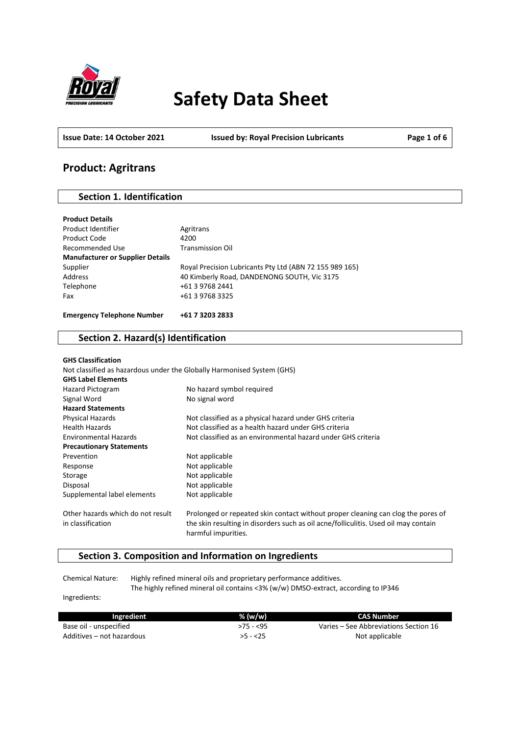

# **Safety Data Sheet**

**Issue Date: 14 October 2021 Issued by: Royal Precision Lubricants Page 1 of 6**

# **Product: Agritrans**

### **Section 1. Identification**

| <b>Product Details</b>                  |                                                         |
|-----------------------------------------|---------------------------------------------------------|
| Product Identifier                      | Agritrans                                               |
| Product Code                            | 4200                                                    |
| Recommended Use                         | <b>Transmission Oil</b>                                 |
| <b>Manufacturer or Supplier Details</b> |                                                         |
| Supplier                                | Royal Precision Lubricants Pty Ltd (ABN 72 155 989 165) |
| Address                                 | 40 Kimberly Road, DANDENONG SOUTH, Vic 3175             |
| Telephone                               | +61 3 9768 2441                                         |
| Fax                                     | +61 3 9768 3325                                         |
|                                         |                                                         |
| <b>Emergency Telephone Number</b>       | +61 7 3203 2833                                         |

# **Section 2. Hazard(s) Identification**

| <b>GHS Classification</b>         |                                                                                                            |
|-----------------------------------|------------------------------------------------------------------------------------------------------------|
|                                   | Not classified as hazardous under the Globally Harmonised System (GHS)                                     |
| <b>GHS Label Elements</b>         |                                                                                                            |
| Hazard Pictogram                  | No hazard symbol required                                                                                  |
| Signal Word                       | No signal word                                                                                             |
| <b>Hazard Statements</b>          |                                                                                                            |
| <b>Physical Hazards</b>           | Not classified as a physical hazard under GHS criteria                                                     |
| <b>Health Hazards</b>             | Not classified as a health hazard under GHS criteria                                                       |
| <b>Environmental Hazards</b>      | Not classified as an environmental hazard under GHS criteria                                               |
| <b>Precautionary Statements</b>   |                                                                                                            |
| Prevention                        | Not applicable                                                                                             |
| Response                          | Not applicable                                                                                             |
| Storage                           | Not applicable                                                                                             |
| Disposal                          | Not applicable                                                                                             |
| Supplemental label elements       | Not applicable                                                                                             |
| Other hazards which do not result | Prolonged or repeated skin contact without proper cleaning can clog the pores of                           |
| in classification                 | the skin resulting in disorders such as oil acne/folliculitis. Used oil may contain<br>harmful impurities. |

## **Section 3. Composition and Information on Ingredients**

Chemical Nature: Highly refined mineral oils and proprietary performance additives. The highly refined mineral oil contains <3% (w/w) DMSO-extract, according to IP346

Ingredients:

| Ingredient                | % (w/w)    | CAS Number                            |
|---------------------------|------------|---------------------------------------|
| Base oil - unspecified    | $>75 - 55$ | Varies – See Abbreviations Section 16 |
| Additives – not hazardous | $>5 - 25$  | Not applicable                        |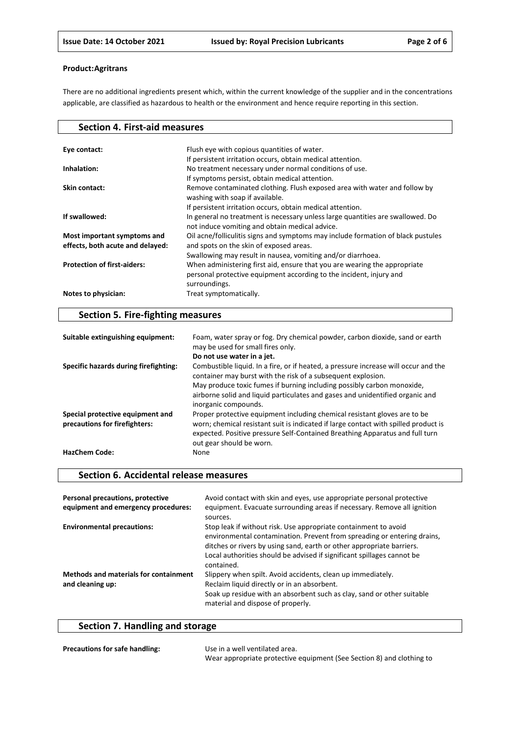There are no additional ingredients present which, within the current knowledge of the supplier and in the concentrations applicable, are classified as hazardous to health or the environment and hence require reporting in this section.

| Flush eye with copious quantities of water.<br>Eye contact:<br>If persistent irritation occurs, obtain medical attention.<br>No treatment necessary under normal conditions of use.<br>Inhalation:<br>If symptoms persist, obtain medical attention. |
|------------------------------------------------------------------------------------------------------------------------------------------------------------------------------------------------------------------------------------------------------|
|                                                                                                                                                                                                                                                      |
|                                                                                                                                                                                                                                                      |
|                                                                                                                                                                                                                                                      |
|                                                                                                                                                                                                                                                      |
|                                                                                                                                                                                                                                                      |
| Remove contaminated clothing. Flush exposed area with water and follow by<br>Skin contact:                                                                                                                                                           |
| washing with soap if available.                                                                                                                                                                                                                      |
| If persistent irritation occurs, obtain medical attention.                                                                                                                                                                                           |
| If swallowed:<br>In general no treatment is necessary unless large quantities are swallowed. Do                                                                                                                                                      |
| not induce vomiting and obtain medical advice.                                                                                                                                                                                                       |
| Oil acne/folliculitis signs and symptoms may include formation of black pustules<br>Most important symptoms and                                                                                                                                      |
| and spots on the skin of exposed areas.<br>effects, both acute and delayed:                                                                                                                                                                          |
| Swallowing may result in nausea, vomiting and/or diarrhoea.                                                                                                                                                                                          |
| <b>Protection of first-aiders:</b><br>When administering first aid, ensure that you are wearing the appropriate                                                                                                                                      |
| personal protective equipment according to the incident, injury and                                                                                                                                                                                  |
| surroundings.                                                                                                                                                                                                                                        |
| Notes to physician:<br>Treat symptomatically.                                                                                                                                                                                                        |

# **Section 5. Fire-fighting measures**

| Suitable extinguishing equipment:                                 | Foam, water spray or fog. Dry chemical powder, carbon dioxide, sand or earth<br>may be used for small fires only.                                                                                                                                                            |
|-------------------------------------------------------------------|------------------------------------------------------------------------------------------------------------------------------------------------------------------------------------------------------------------------------------------------------------------------------|
|                                                                   | Do not use water in a jet.                                                                                                                                                                                                                                                   |
| Specific hazards during firefighting:                             | Combustible liquid. In a fire, or if heated, a pressure increase will occur and the<br>container may burst with the risk of a subsequent explosion.<br>May produce toxic fumes if burning including possibly carbon monoxide,                                                |
|                                                                   | airborne solid and liquid particulates and gases and unidentified organic and<br>inorganic compounds.                                                                                                                                                                        |
| Special protective equipment and<br>precautions for firefighters: | Proper protective equipment including chemical resistant gloves are to be<br>worn; chemical resistant suit is indicated if large contact with spilled product is<br>expected. Positive pressure Self-Contained Breathing Apparatus and full turn<br>out gear should be worn. |
| <b>HazChem Code:</b>                                              | None                                                                                                                                                                                                                                                                         |

#### **Section 6. Accidental release measures**

| Personal precautions, protective<br>equipment and emergency procedures: | Avoid contact with skin and eyes, use appropriate personal protective<br>equipment. Evacuate surrounding areas if necessary. Remove all ignition<br>sources.                                                                                                                                                |
|-------------------------------------------------------------------------|-------------------------------------------------------------------------------------------------------------------------------------------------------------------------------------------------------------------------------------------------------------------------------------------------------------|
| <b>Environmental precautions:</b>                                       | Stop leak if without risk. Use appropriate containment to avoid<br>environmental contamination. Prevent from spreading or entering drains,<br>ditches or rivers by using sand, earth or other appropriate barriers.<br>Local authorities should be advised if significant spillages cannot be<br>contained. |
| <b>Methods and materials for containment</b><br>and cleaning up:        | Slippery when spilt. Avoid accidents, clean up immediately.<br>Reclaim liquid directly or in an absorbent.<br>Soak up residue with an absorbent such as clay, sand or other suitable<br>material and dispose of properly.                                                                                   |

# **Section 7. Handling and storage**

| <b>Precautions for safe handling:</b> | Use in a well ventilated area.                                        |
|---------------------------------------|-----------------------------------------------------------------------|
|                                       | Wear appropriate protective equipment (See Section 8) and clothing to |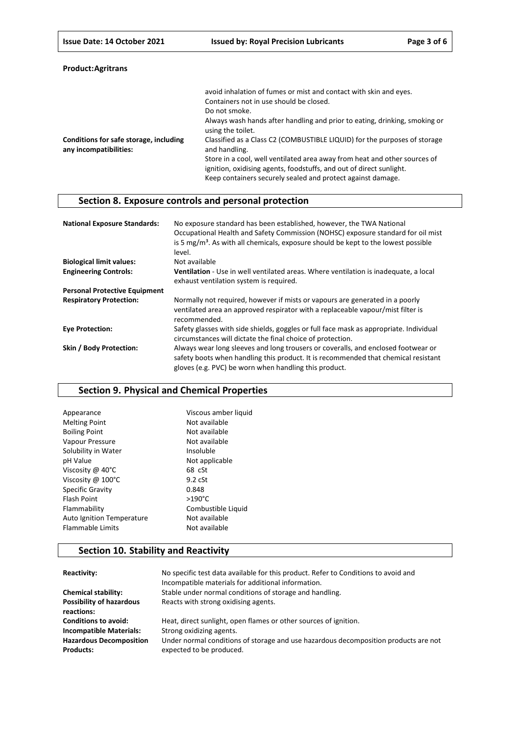|  | Product: Agritrans |  |
|--|--------------------|--|
|--|--------------------|--|

|                                                                  | avoid inhalation of fumes or mist and contact with skin and eyes.<br>Containers not in use should be closed.                                                                                                    |
|------------------------------------------------------------------|-----------------------------------------------------------------------------------------------------------------------------------------------------------------------------------------------------------------|
|                                                                  | Do not smoke.                                                                                                                                                                                                   |
|                                                                  | Always wash hands after handling and prior to eating, drinking, smoking or                                                                                                                                      |
|                                                                  | using the toilet.                                                                                                                                                                                               |
| Conditions for safe storage, including<br>any incompatibilities: | Classified as a Class C2 (COMBUSTIBLE LIQUID) for the purposes of storage<br>and handling.                                                                                                                      |
|                                                                  | Store in a cool, well ventilated area away from heat and other sources of<br>ignition, oxidising agents, foodstuffs, and out of direct sunlight.<br>Keep containers securely sealed and protect against damage. |

# **Section 8. Exposure controls and personal protection**

| <b>National Exposure Standards:</b>  | No exposure standard has been established, however, the TWA National<br>Occupational Health and Safety Commission (NOHSC) exposure standard for oil mist<br>is 5 $mg/m3$ . As with all chemicals, exposure should be kept to the lowest possible<br>level. |
|--------------------------------------|------------------------------------------------------------------------------------------------------------------------------------------------------------------------------------------------------------------------------------------------------------|
| <b>Biological limit values:</b>      | Not available                                                                                                                                                                                                                                              |
| <b>Engineering Controls:</b>         | <b>Ventilation</b> - Use in well ventilated areas. Where ventilation is inadequate, a local<br>exhaust ventilation system is required.                                                                                                                     |
| <b>Personal Protective Equipment</b> |                                                                                                                                                                                                                                                            |
| <b>Respiratory Protection:</b>       | Normally not required, however if mists or vapours are generated in a poorly<br>ventilated area an approved respirator with a replaceable vapour/mist filter is<br>recommended.                                                                            |
| <b>Eye Protection:</b>               | Safety glasses with side shields, goggles or full face mask as appropriate. Individual<br>circumstances will dictate the final choice of protection.                                                                                                       |
| Skin / Body Protection:              | Always wear long sleeves and long trousers or coveralls, and enclosed footwear or<br>safety boots when handling this product. It is recommended that chemical resistant<br>gloves (e.g. PVC) be worn when handling this product.                           |

### **Section 9. Physical and Chemical Properties**

| Viscous amber liquid |
|----------------------|
| Not available        |
| Not available        |
| Not available        |
| Insoluble            |
| Not applicable       |
| 68 cSt               |
| $9.2 \text{ cSt}$    |
| 0.848                |
| $>190^{\circ}$ C     |
| Combustible Liquid   |
| Not available        |
| Not available        |
|                      |

# **Section 10. Stability and Reactivity**

| Reactivity:                                        | No specific test data available for this product. Refer to Conditions to avoid and<br>Incompatible materials for additional information. |
|----------------------------------------------------|------------------------------------------------------------------------------------------------------------------------------------------|
| <b>Chemical stability:</b>                         | Stable under normal conditions of storage and handling.                                                                                  |
| <b>Possibility of hazardous</b><br>reactions:      | Reacts with strong oxidising agents.                                                                                                     |
| <b>Conditions to avoid:</b>                        | Heat, direct sunlight, open flames or other sources of ignition.                                                                         |
| <b>Incompatible Materials:</b>                     | Strong oxidizing agents.                                                                                                                 |
| <b>Hazardous Decomposition</b><br><b>Products:</b> | Under normal conditions of storage and use hazardous decomposition products are not<br>expected to be produced.                          |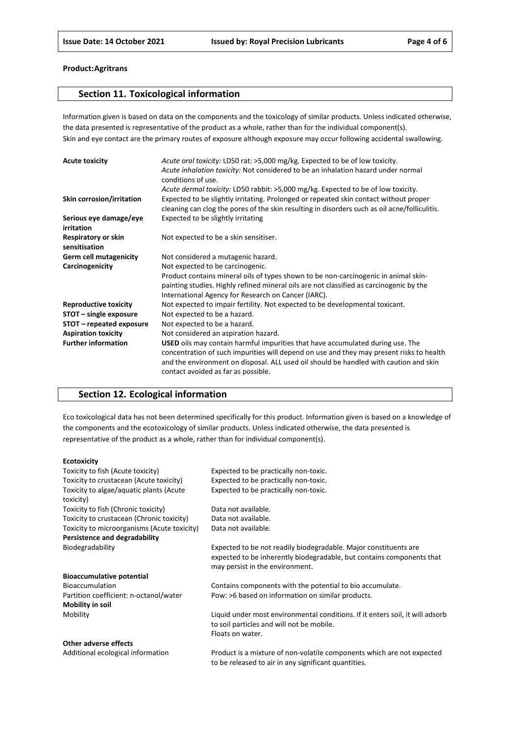#### **Section 11. Toxicological information**

Information given is based on data on the components and the toxicology of similar products. Unless indicated otherwise, the data presented is representative of the product as a whole, rather than for the individual component(s). Skin and eye contact are the primary routes of exposure although exposure may occur following accidental swallowing.

| <b>Acute toxicity</b>                | Acute oral toxicity: LD50 rat: >5,000 mg/kg. Expected to be of low toxicity.<br>Acute inhalation toxicity: Not considered to be an inhalation hazard under normal<br>conditions of use.                                                                                                                    |
|--------------------------------------|------------------------------------------------------------------------------------------------------------------------------------------------------------------------------------------------------------------------------------------------------------------------------------------------------------|
|                                      | Acute dermal toxicity: LD50 rabbit: >5,000 mg/kg. Expected to be of low toxicity.                                                                                                                                                                                                                          |
| Skin corrosion/irritation            | Expected to be slightly irritating. Prolonged or repeated skin contact without proper<br>cleaning can clog the pores of the skin resulting in disorders such as oil acne/folliculitis.                                                                                                                     |
| Serious eye damage/eye<br>irritation | Expected to be slightly irritating                                                                                                                                                                                                                                                                         |
| Respiratory or skin<br>sensitisation | Not expected to be a skin sensitiser.                                                                                                                                                                                                                                                                      |
| <b>Germ cell mutagenicity</b>        | Not considered a mutagenic hazard.                                                                                                                                                                                                                                                                         |
| Carcinogenicity                      | Not expected to be carcinogenic.                                                                                                                                                                                                                                                                           |
|                                      | Product contains mineral oils of types shown to be non-carcinogenic in animal skin-                                                                                                                                                                                                                        |
|                                      | painting studies. Highly refined mineral oils are not classified as carcinogenic by the                                                                                                                                                                                                                    |
|                                      | International Agency for Research on Cancer (IARC).                                                                                                                                                                                                                                                        |
| <b>Reproductive toxicity</b>         | Not expected to impair fertility. Not expected to be developmental toxicant.                                                                                                                                                                                                                               |
| STOT - single exposure               | Not expected to be a hazard.                                                                                                                                                                                                                                                                               |
| STOT – repeated exposure             | Not expected to be a hazard.                                                                                                                                                                                                                                                                               |
| <b>Aspiration toxicity</b>           | Not considered an aspiration hazard.                                                                                                                                                                                                                                                                       |
| <b>Further information</b>           | USED oils may contain harmful impurities that have accumulated during use. The<br>concentration of such impurities will depend on use and they may present risks to health<br>and the environment on disposal. ALL used oil should be handled with caution and skin<br>contact avoided as far as possible. |

### **Section 12. Ecological information**

Eco toxicological data has not been determined specifically for this product. Information given is based on a knowledge of the components and the ecotoxicology of similar products. Unless indicated otherwise, the data presented is representative of the product as a whole, rather than for individual component(s).

#### **Ecotoxicity**

| Toxicity to fish (Acute toxicity)                    | Expected to be practically non-toxic.                                                                                                                                        |
|------------------------------------------------------|------------------------------------------------------------------------------------------------------------------------------------------------------------------------------|
| Toxicity to crustacean (Acute toxicity)              | Expected to be practically non-toxic.                                                                                                                                        |
| Toxicity to algae/aquatic plants (Acute<br>toxicity) | Expected to be practically non-toxic.                                                                                                                                        |
| Toxicity to fish (Chronic toxicity)                  | Data not available.                                                                                                                                                          |
| Toxicity to crustacean (Chronic toxicity)            | Data not available.                                                                                                                                                          |
| Toxicity to microorganisms (Acute toxicity)          | Data not available.                                                                                                                                                          |
| <b>Persistence and degradability</b>                 |                                                                                                                                                                              |
| Biodegradability                                     | Expected to be not readily biodegradable. Major constituents are<br>expected to be inherently biodegradable, but contains components that<br>may persist in the environment. |
| <b>Bioaccumulative potential</b>                     |                                                                                                                                                                              |
| <b>Bioaccumulation</b>                               | Contains components with the potential to bio accumulate.                                                                                                                    |
| Partition coefficient: n-octanol/water               | Pow: >6 based on information on similar products.                                                                                                                            |
| Mobility in soil                                     |                                                                                                                                                                              |
| Mobility                                             | Liquid under most environmental conditions. If it enters soil, it will adsorb<br>to soil particles and will not be mobile.                                                   |
|                                                      | Floats on water.                                                                                                                                                             |
| <b>Other adverse effects</b>                         |                                                                                                                                                                              |
| Additional ecological information                    | <b>Droduct is a mixture of non-volatile components which are not expected</b>                                                                                                |

Additional ecological information Product is a mixture of non-volatile components which are not expected to be released to air in any significant quantities.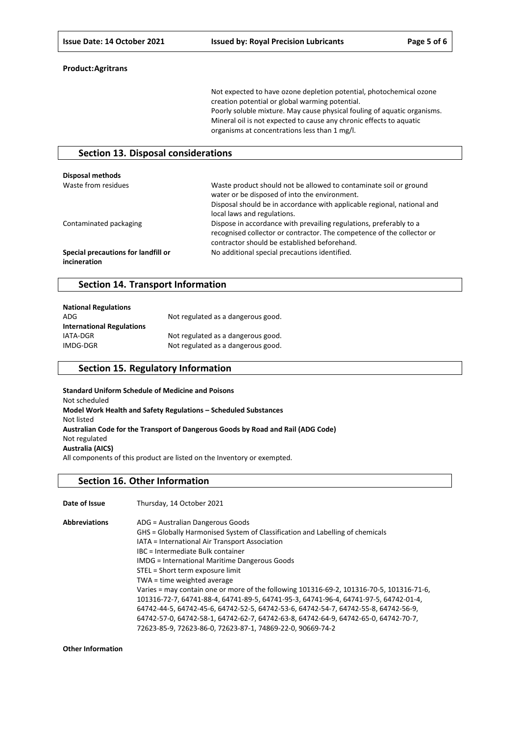Not expected to have ozone depletion potential, photochemical ozone creation potential or global warming potential. Poorly soluble mixture. May cause physical fouling of aquatic organisms. Mineral oil is not expected to cause any chronic effects to aquatic organisms at concentrations less than 1 mg/l.

#### **Section 13. Disposal considerations**

| <b>Disposal methods</b>                             |                                                                                                                                                                                                                              |
|-----------------------------------------------------|------------------------------------------------------------------------------------------------------------------------------------------------------------------------------------------------------------------------------|
| Waste from residues                                 | Waste product should not be allowed to contaminate soil or ground<br>water or be disposed of into the environment.<br>Disposal should be in accordance with applicable regional, national and<br>local laws and regulations. |
| Contaminated packaging                              | Dispose in accordance with prevailing regulations, preferably to a<br>recognised collector or contractor. The competence of the collector or<br>contractor should be established beforehand.                                 |
| Special precautions for landfill or<br>incineration | No additional special precautions identified.                                                                                                                                                                                |

#### **Section 14. Transport Information**

| <b>National Regulations</b>      |                                    |
|----------------------------------|------------------------------------|
| ADG                              | Not regulated as a dangerous good. |
| <b>International Regulations</b> |                                    |
| IATA-DGR                         | Not regulated as a dangerous good. |
| IMDG-DGR                         | Not regulated as a dangerous good. |

#### **Section 15. Regulatory Information**

**Standard Uniform Schedule of Medicine and Poisons** Not scheduled **Model Work Health and Safety Regulations – Scheduled Substances** Not listed **Australian Code for the Transport of Dangerous Goods by Road and Rail (ADG Code)** Not regulated **Australia (AICS)** All components of this product are listed on the Inventory or exempted.

#### **Section 16. Other Information**

**Date of Issue** Thursday, 14 October 2021 **Abbreviations** ADG = Australian D

| Abbreviations | ADG = Australian Dangerous Goods                                                         |
|---------------|------------------------------------------------------------------------------------------|
|               | GHS = Globally Harmonised System of Classification and Labelling of chemicals            |
|               | IATA = International Air Transport Association                                           |
|               | IBC = Intermediate Bulk container                                                        |
|               | <b>IMDG</b> = International Maritime Dangerous Goods                                     |
|               | STEL = Short term exposure limit                                                         |
|               | TWA = time weighted average                                                              |
|               | Varies = may contain one or more of the following 101316-69-2, 101316-70-5, 101316-71-6, |
|               | 101316-72-7, 64741-88-4, 64741-89-5, 64741-95-3, 64741-96-4, 64741-97-5, 64742-01-4,     |
|               | 64742-44-5, 64742-45-6, 64742-52-5, 64742-53-6, 64742-54-7, 64742-55-8, 64742-56-9,      |
|               | 64742-57-0, 64742-58-1, 64742-62-7, 64742-63-8, 64742-64-9, 64742-65-0, 64742-70-7,      |
|               | 72623-85-9, 72623-86-0, 72623-87-1, 74869-22-0, 90669-74-2                               |
|               |                                                                                          |

**Other Information**